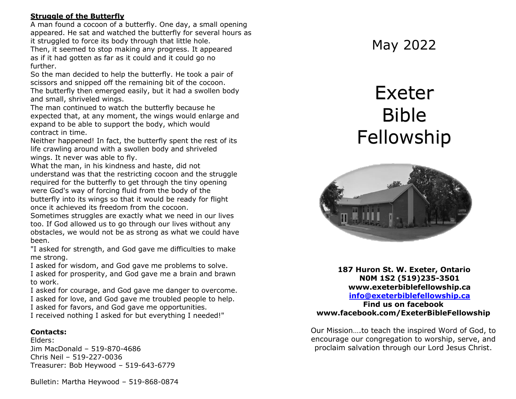# **Struggle of the Butterfly**

A man found a cocoon of a butterfly. One day, a small opening appeared. He sat and watched the butterfly for several hours as it struggled to force its body through that little hole. Then, it seemed to stop making any progress. It appeared as if it had gotten as far as it could and it could go no further.

So the man decided to help the butterfly. He took a pair of scissors and snipped off the remaining bit of the cocoon. The butterfly then emerged easily, but it had a swollen body and small, shriveled wings.

The man continued to watch the butterfly because he expected that, at any moment, the wings would enlarge and expand to be able to support the body, which would contract in time.

Neither happened! In fact, the butterfly spent the rest of its life crawling around with a swollen body and shriveled wings. It never was able to fly.

What the man, in his kindness and haste, did not understand was that the restricting cocoon and the struggle required for the butterfly to get through the tiny opening were God's way of forcing fluid from the body of the butterfly into its wings so that it would be ready for flight once it achieved its freedom from the cocoon.

Sometimes struggles are exactly what we need in our lives too. If God allowed us to go through our lives without any obstacles, we would not be as strong as what we could have been.

"I asked for strength, and God gave me difficulties to make me strong.

I asked for wisdom, and God gave me problems to solve.

I asked for prosperity, and God gave me a brain and brawn to work.

I asked for courage, and God gave me danger to overcome.

I asked for love, and God gave me troubled people to help.

I asked for favors, and God gave me opportunities.

I received nothing I asked for but everything I needed!"

## **Contacts:**

Elders: Jim MacDonald – 519-870-4686 Chris Neil – 519-227-0036 Treasurer: Bob Heywood – 519-643-6779 May 2022

# Exeter Bible Fellowship



 **187 Huron St. W. Exeter, Ontario N0M 1S2 (519)235-3501 www.exeterbiblefellowship.ca [info@exeterbiblefellowship.ca](mailto:info@exeterbiblefellowship.ca)**

**Find us on facebook www.facebook.com/ExeterBibleFellowship**

Our Mission….to teach the inspired Word of God, to encourage our congregation to worship, serve, and proclaim salvation through our Lord Jesus Christ.

Bulletin: Martha Heywood – 519-868-0874